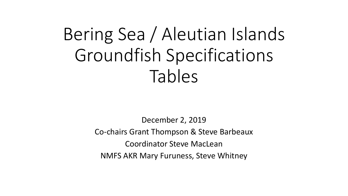# Bering Sea / Aleutian Islands Groundfish Specifications Tables

December 2, 2019 Co-chairs Grant Thompson & Steve Barbeaux Coordinator Steve MacLean NMFS AKR Mary Furuness, Steve Whitney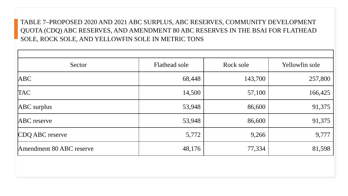# TABLE 7–PROPOSED 2020 AND 2021 ABC SURPLUS, ABC RESERVES, COMMUNITY DEVELOPMENT QUOTA (CDQ) ABC RESERVES, AND AMENDMENT 80 ABC RESERVES IN THE BSAI FOR FLATHEAD SOLE, ROCK SOLE, AND YELLOWFIN SOLE IN METRIC TONS

| Sector                   | Flathead sole | Rock sole | Yellowfin sole |
|--------------------------|---------------|-----------|----------------|
| <b>ABC</b>               | 68,448        | 143,700   | 257,800        |
| <b>TAC</b>               | 14,500        | 57,100    | 166,425        |
| ABC surplus              | 53,948        | 86,600    | 91,375         |
| <b>ABC</b> reserve       | 53,948        | 86,600    | 91,375         |
| CDQ ABC reserve          | 5,772         | 9,266     | 9,777          |
| Amendment 80 ABC reserve | 48,176        | 77,334    | 81,598         |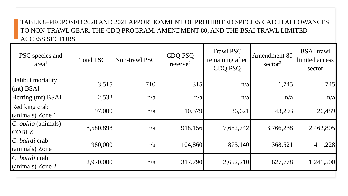# TABLE 8–PROPOSED 2020 AND 2021 APPORTIONMENT OF PROHIBITED SPECIES CATCH ALLOWANCES TO NON-TRAWL GEAR, THE CDQ PROGRAM, AMENDMENT 80, AND THE BSAI TRAWL LIMITED ACCESS SECTORS

| PSC species and<br>area <sup>1</sup>       | <b>Total PSC</b> | Non-trawl PSC | CDQ PSQ<br>reserve <sup>2</sup> | <b>Trawl PSC</b><br>remaining after<br><b>CDQ PSQ</b> | Amendment 80<br>sector <sup>3</sup> | <b>BSAI</b> trawl<br>limited access<br>sector |
|--------------------------------------------|------------------|---------------|---------------------------------|-------------------------------------------------------|-------------------------------------|-----------------------------------------------|
| Halibut mortality<br>$(mt)$ BSAI           | 3,515            | 710           | 315                             | n/a                                                   | 1,745                               | 745                                           |
| Herring (mt) BSAI                          | 2,532            | n/a           | n/a                             | n/a                                                   | n/a                                 | n/a                                           |
| Red king crab<br>(animals) Zone 1          | 97,000           | n/a           | 10,379                          | 86,621                                                | 43,293                              | 26,489                                        |
| C. <i>opilio</i> (animals)<br><b>COBLZ</b> | 8,580,898        | n/a           | 918,156                         | 7,662,742                                             | 3,766,238                           | 2,462,805                                     |
| C. bairdi crab<br>(animals) Zone 1         | 980,000          | n/a           | 104,860                         | 875,140                                               | 368,521                             | 411,228                                       |
| C. bairdi crab<br>(animals) Zone 2         | 2,970,000        | n/a           | 317,790                         | 2,652,210                                             | 627,778                             | 1,241,500                                     |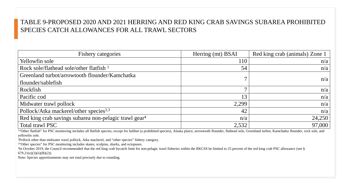## TABLE 9-PROPOSED 2020 AND 2021 HERRING AND RED KING CRAB SAVINGS SUBAREA PROHIBITED SPECIES CATCH ALLOWANCES FOR ALL TRAWL SECTORS

| <b>Fishery categories</b>                                         | Herring (mt) BSAI | Red king crab (animals) Zone 1 |
|-------------------------------------------------------------------|-------------------|--------------------------------|
| Yellowfin sole                                                    | 110               | n/a                            |
| Rock sole/flathead sole/other flatfish $1$                        | 54                | n/a                            |
| Greenland turbot/arrowtooth flounder/Kamchatka                    | $\mathbf{r}$      | n/a                            |
| flounder/sablefish                                                |                   |                                |
| Rockfish                                                          | $\mathbf{r}$      | n/a                            |
| Pacific cod                                                       | 13                | n/a                            |
| Midwater trawl pollock                                            | 2,299             | n/a                            |
| Pollock/Atka mackerel/other species <sup>2,3</sup>                | 42                | n/a                            |
| Red king crab savings subarea non-pelagic trawl gear <sup>4</sup> | n/a               | 24,250                         |
| Total trawl PSC                                                   | 2,532             | 97,000                         |

<sup>1</sup>"Other flatfish" for PSC monitoring includes all flatfish species, except for halibut (a prohibited species), Alaska plaice, arrowtooth flounder, flathead sole, Greenland turbot, Kamchatka flounder, rock sole, and yellowfin sole.

2Pollock other than midwater trawl pollock, Atka mackerel, and "other species" fishery category.

<sup>3"</sup>Other species" for PSC monitoring includes skates, sculpins, sharks, and octopuses.

<sup>4</sup>In October 2019, the Council recommended that the red king crab bycatch limit for non-pelagic trawl fisheries within the RKCSS be limited to 25 percent of the red king crab PSC allowance (see §  $679.21(e)(3)(ii)(B)(2)$ ).

Note: Species apportionments may not total precisely due to rounding.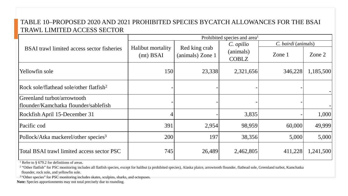## TABLE 10–PROPOSED 2020 AND 2021 PROHIBITED SPECIES BYCATCH ALLOWANCES FOR THE BSAI TRAWL LIMITED ACCESS SECTOR

|                                                     | Prohibited species and area <sup>1</sup> |                  |              |                     |           |
|-----------------------------------------------------|------------------------------------------|------------------|--------------|---------------------|-----------|
|                                                     |                                          |                  | C. opilio    | C. bairdi (animals) |           |
| <b>BSAI</b> trawl limited access sector fisheries   | Halibut mortality                        | Red king crab    | (animals)    |                     |           |
|                                                     | $(mt)$ BSAI                              | (animals) Zone 1 | <b>COBLZ</b> | Zone 1              | Zone $2$  |
| Yellowfin sole                                      | 150                                      | 23,338           | 2,321,656    | 346,228             | 1,185,500 |
| Rock sole/flathead sole/other flatfish <sup>2</sup> |                                          |                  |              |                     |           |
| Greenland turbot/arrowtooth                         |                                          |                  |              |                     |           |
| flounder/Kamchatka flounder/sablefish               |                                          |                  |              |                     |           |
| Rockfish April 15-December 31                       | 4                                        |                  | 3,835        |                     | 1,000     |
| Pacific cod                                         | 391                                      | 2,954            | 98,959       | 60,000              | 49,999    |
| Pollock/Atka mackerel/other species <sup>3</sup>    | 200                                      | 197              | 38,356       | 5,000               | 5,000     |
| Total BSAI trawl limited access sector PSC          | 745                                      | 26,489           | 2,462,805    | 411,228             | 1,241,500 |

<sup>1</sup> Refer to § 679.2 for definitions of areas.

<sup>2</sup> "Other flatfish" for PSC monitoring includes all flatfish species, except for halibut (a prohibited species), Alaska plaice, arrowtooth flounder, flathead sole, Greenland turbot, Kamchatka flounder, rock sole, and yellowfin sole.

<sup>3</sup> "Other species" for PSC monitoring includes skates, sculpins, sharks, and octopuses.

**Note:** Species apportionments may not total precisely due to rounding.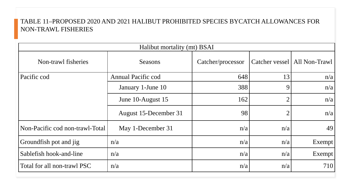#### TABLE 11–PROPOSED 2020 AND 2021 HALIBUT PROHIBITED SPECIES BYCATCH ALLOWANCES FOR NON-TRAWL FISHERIES

| Halibut mortality (mt) BSAI     |                           |                   |                |               |
|---------------------------------|---------------------------|-------------------|----------------|---------------|
| Non-trawl fisheries             | Seasons                   | Catcher/processor | Catcher vessel | All Non-Trawl |
| Pacific cod                     | <b>Annual Pacific cod</b> | 648               | 13             | n/a           |
|                                 | January 1-June 10         | 388               | 9              | n/a           |
|                                 | June 10-August 15         | 162               | $\overline{2}$ | n/a           |
|                                 | August 15-December 31     | 98                | $\overline{2}$ | n/a           |
| Non-Pacific cod non-trawl-Total | May 1-December 31         | n/a               | n/a            | 49            |
| Groundfish pot and jig          | n/a                       | n/a               | n/a            | Exempt        |
| Sablefish hook-and-line         | n/a                       | n/a               | n/a            | Exempt        |
| Total for all non-trawl PSC     | n/a                       | n/a               | n/a            | 710           |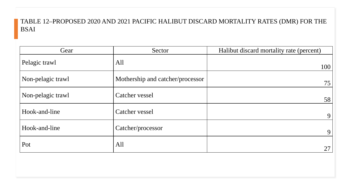### TABLE 12–PROPOSED 2020 AND 2021 PACIFIC HALIBUT DISCARD MORTALITY RATES (DMR) FOR THE BSAI

| Gear              | Sector                           | Halibut discard mortality rate (percent) |
|-------------------|----------------------------------|------------------------------------------|
| Pelagic trawl     | All                              | 100                                      |
| Non-pelagic trawl | Mothership and catcher/processor | 75                                       |
| Non-pelagic trawl | Catcher vessel                   | 58                                       |
| Hook-and-line     | Catcher vessel                   | 9 <sub>1</sub>                           |
| Hook-and-line     | Catcher/processor                | 9                                        |
| Pot               | All                              | 27                                       |